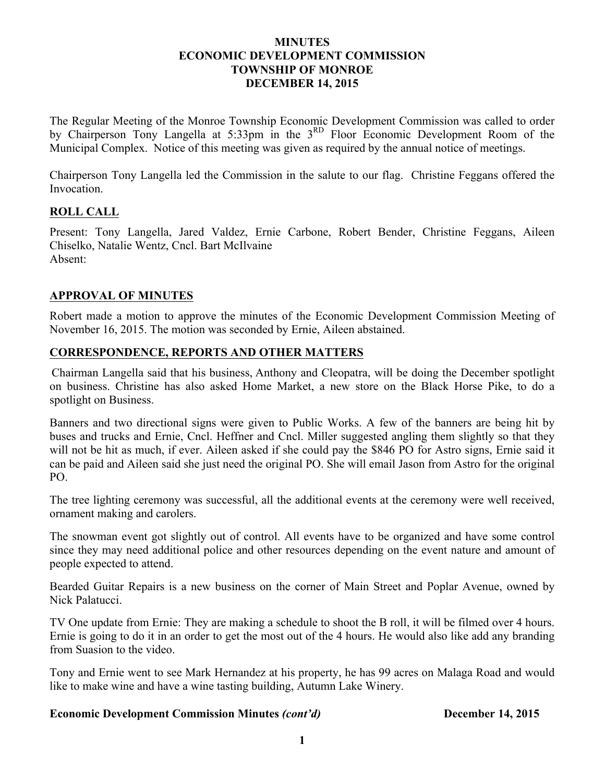#### **MINUTES ECONOMIC DEVELOPMENT COMMISSION TOWNSHIP OF MONROE DECEMBER 14, 2015**

The Regular Meeting of the Monroe Township Economic Development Commission was called to order by Chairperson Tony Langella at 5:33pm in the 3<sup>RD</sup> Floor Economic Development Room of the Municipal Complex. Notice of this meeting was given as required by the annual notice of meetings.

Chairperson Tony Langella led the Commission in the salute to our flag. Christine Feggans offered the Invocation.

## **ROLL CALL**

Present: Tony Langella, Jared Valdez, Ernie Carbone, Robert Bender, Christine Feggans, Aileen Chiselko, Natalie Wentz, Cncl. Bart McIlvaine Absent:

## **APPROVAL OF MINUTES**

Robert made a motion to approve the minutes of the Economic Development Commission Meeting of November 16, 2015. The motion was seconded by Ernie, Aileen abstained.

## **CORRESPONDENCE, REPORTS AND OTHER MATTERS**

Chairman Langella said that his business, Anthony and Cleopatra, will be doing the December spotlight on business. Christine has also asked Home Market, a new store on the Black Horse Pike, to do a spotlight on Business.

Banners and two directional signs were given to Public Works. A few of the banners are being hit by buses and trucks and Ernie, Cncl. Heffner and Cncl. Miller suggested angling them slightly so that they will not be hit as much, if ever. Aileen asked if she could pay the \$846 PO for Astro signs, Ernie said it can be paid and Aileen said she just need the original PO. She will email Jason from Astro for the original PO.

The tree lighting ceremony was successful, all the additional events at the ceremony were well received, ornament making and carolers.

The snowman event got slightly out of control. All events have to be organized and have some control since they may need additional police and other resources depending on the event nature and amount of people expected to attend.

Bearded Guitar Repairs is a new business on the corner of Main Street and Poplar Avenue, owned by Nick Palatucci.

TV One update from Ernie: They are making a schedule to shoot the B roll, it will be filmed over 4 hours. Ernie is going to do it in an order to get the most out of the 4 hours. He would also like add any branding from Suasion to the video.

Tony and Ernie went to see Mark Hernandez at his property, he has 99 acres on Malaga Road and would like to make wine and have a wine tasting building, Autumn Lake Winery.

#### **Economic Development Commission Minutes** *(cont'd)* **December 14, 2015**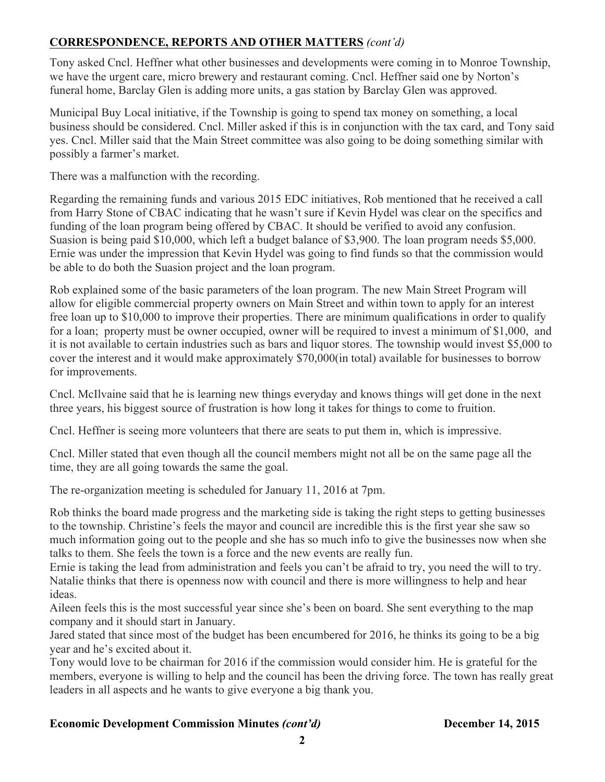# **CORRESPONDENCE, REPORTS AND OTHER MATTERS** *(cont'd)*

Tony asked Cncl. Heffner what other businesses and developments were coming in to Monroe Township, we have the urgent care, micro brewery and restaurant coming. Cncl. Heffner said one by Norton's funeral home, Barclay Glen is adding more units, a gas station by Barclay Glen was approved.

Municipal Buy Local initiative, if the Township is going to spend tax money on something, a local business should be considered. Cncl. Miller asked if this is in conjunction with the tax card, and Tony said yes. Cncl. Miller said that the Main Street committee was also going to be doing something similar with possibly a farmer's market.

There was a malfunction with the recording.

Regarding the remaining funds and various 2015 EDC initiatives, Rob mentioned that he received a call from Harry Stone of CBAC indicating that he wasn't sure if Kevin Hydel was clear on the specifics and funding of the loan program being offered by CBAC. It should be verified to avoid any confusion. Suasion is being paid \$10,000, which left a budget balance of \$3,900. The loan program needs \$5,000. Ernie was under the impression that Kevin Hydel was going to find funds so that the commission would be able to do both the Suasion project and the loan program.

Rob explained some of the basic parameters of the loan program. The new Main Street Program will allow for eligible commercial property owners on Main Street and within town to apply for an interest free loan up to \$10,000 to improve their properties. There are minimum qualifications in order to qualify for a loan; property must be owner occupied, owner will be required to invest a minimum of \$1,000, and it is not available to certain industries such as bars and liquor stores. The township would invest \$5,000 to cover the interest and it would make approximately \$70,000(in total) available for businesses to borrow for improvements.

Cncl. McIlvaine said that he is learning new things everyday and knows things will get done in the next three years, his biggest source of frustration is how long it takes for things to come to fruition.

Cncl. Heffner is seeing more volunteers that there are seats to put them in, which is impressive.

Cncl. Miller stated that even though all the council members might not all be on the same page all the time, they are all going towards the same the goal.

The re-organization meeting is scheduled for January 11, 2016 at 7pm.

Rob thinks the board made progress and the marketing side is taking the right steps to getting businesses to the township. Christine's feels the mayor and council are incredible this is the first year she saw so much information going out to the people and she has so much info to give the businesses now when she talks to them. She feels the town is a force and the new events are really fun.

Ernie is taking the lead from administration and feels you can't be afraid to try, you need the will to try. Natalie thinks that there is openness now with council and there is more willingness to help and hear ideas.

Aileen feels this is the most successful year since she's been on board. She sent everything to the map company and it should start in January.

Jared stated that since most of the budget has been encumbered for 2016, he thinks its going to be a big year and he's excited about it.

Tony would love to be chairman for 2016 if the commission would consider him. He is grateful for the members, everyone is willing to help and the council has been the driving force. The town has really great leaders in all aspects and he wants to give everyone a big thank you.

## **Economic Development Commission Minutes** *(cont'd)* **December 14, 2015**